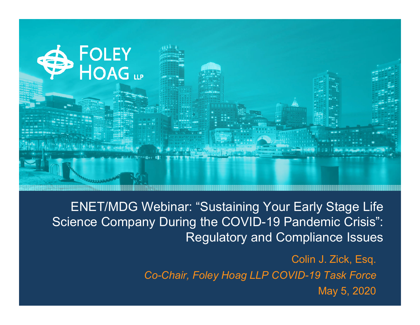

ENET/MDG Webinar: "Sustaining Your Early Stage Life Science Company During the COVID-19 Pandemic Crisis": Regulatory and Compliance Issues

> Colin J. Zick, Esq. *Co-Chair, Foley Hoag LLP COVID-19 Task Force* May 5, 2020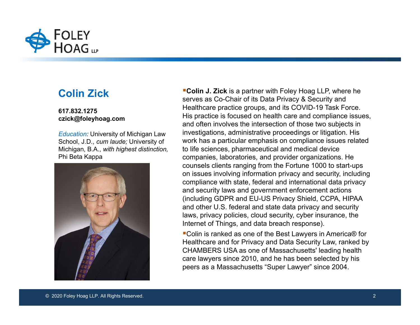

#### **Colin Zick**

#### **617.832.1275 czick@foleyhoag.com**

*Education:* University of Michigan Law School, J.D., *cum laude;* University of Michigan, B.A., *with highest distinction,* Phi Beta Kappa



**Colin J. Zick** is a partner with Foley Hoag LLP, where he serves as Co-Chair of its Data Privacy & Security and Healthcare practice groups, and its COVID-19 Task Force. His practice is focused on health care and compliance issues, and often involves the intersection of those two subjects in investigations, administrative proceedings or litigation. His work has a particular emphasis on compliance issues related to life sciences, pharmaceutical and medical device companies, laboratories, and provider organizations. He counsels clients ranging from the Fortune 1000 to start-ups on issues involving information privacy and security, including compliance with state, federal and international data privacy and security laws and government enforcement actions (including GDPR and EU-US Privacy Shield, CCPA, HIPAA and other U.S. federal and state data privacy and security laws, privacy policies, cloud security, cyber insurance, the Internet of Things, and data breach response).

■Colin is ranked as one of the Best Lawyers in America® for Healthcare and for Privacy and Data Security Law, ranked by CHAMBERS USA as one of Massachusetts' leading health care lawyers since 2010, and he has been selected by his peers as a Massachusetts "Super Lawyer" since 2004.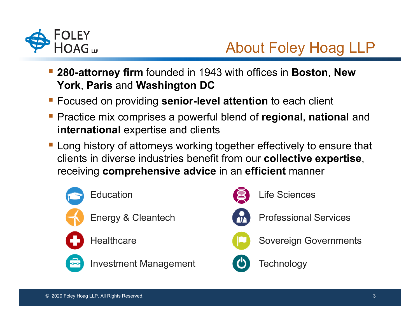

# About Foley Hoag LLP

- **280-attorney firm** founded in 1943 with offices in **Boston**, **New York**, **Paris** and **Washington DC**
- Focused on providing **senior-level attention** to each client
- Practice mix comprises a powerful blend of **regional**, **national** and **international** expertise and clients
- **Long history of attorneys working together effectively to ensure that** clients in diverse industries benefit from our **collective expertise**, receiving **comprehensive advice** in an **efficient** manner





Life Sciences



Professional Services



Sovereign Governments

**Technology**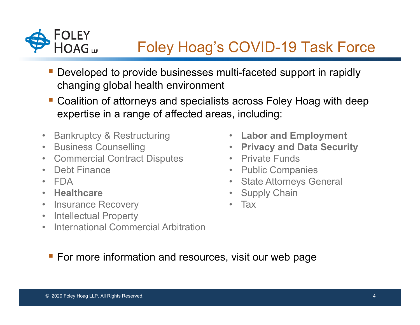

# Foley Hoag's COVID-19 Task Force

- Developed to provide businesses multi-faceted support in rapidly changing global health environment
- Coalition of attorneys and specialists across Foley Hoag with deep expertise in a range of affected areas, including:
- $\bullet$ Bankruptcy & Restructuring
- $\bullet$ Business Counselling
- Commercial Contract Disputes
- Debt Finance
- FDA
- **Healthcare**
- Insurance Recovery
- Intellectual Property
- $\bullet$ International Commercial Arbitration
- **Labor and Employment**
- **Privacy and Data Security**
- Private Funds
- Public Companies
- State Attorneys General
- Supply Chain
- Tax

**For more information and resources, visit our web page**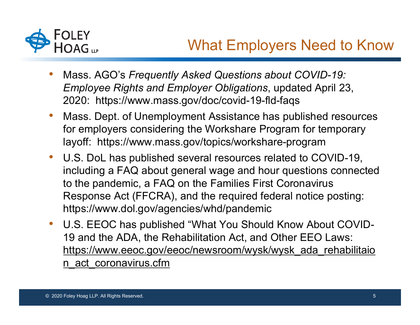

- • Mass. AGO's *Frequently Asked Questions about COVID-19: Employee Rights and Employer Obligations*, updated April 23, 2020: https://www.mass.gov/doc/covid-19-fld-faqs
- • Mass. Dept. of Unemployment Assistance has published resources for employers considering the Workshare Program for temporary layoff: https://www.mass.gov/topics/workshare-program
- • U.S. DoL has published several resources related to COVID-19, including a FAQ about general wage and hour questions connected to the pandemic, a FAQ on the Families First Coronavirus Response Act (FFCRA), and the required federal notice posting: https://www.dol.gov/agencies/whd/pandemic
- • U.S. EEOC has published "What You Should Know About COVID-19 and the ADA, the Rehabilitation Act, and Other EEO Laws: https://www.eeoc.gov/eeoc/newsroom/wysk/wysk\_ada\_rehabilitaio n\_act\_coronavirus.cfm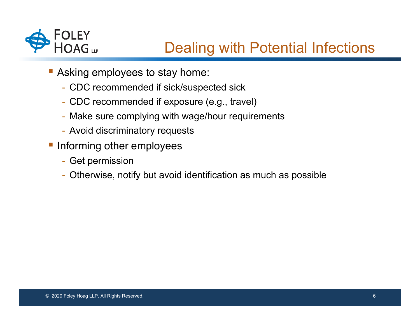

#### Dealing with Potential Infections

- Asking employees to stay home:
	- CDC recommended if sick/suspected sick
	- CDC recommended if exposure (e.g., travel)
	- Make sure complying with wage/hour requirements
	- Avoid discriminatory requests
- **Informing other employees** 
	- Get permission
	- Otherwise, notify but avoid identification as much as possible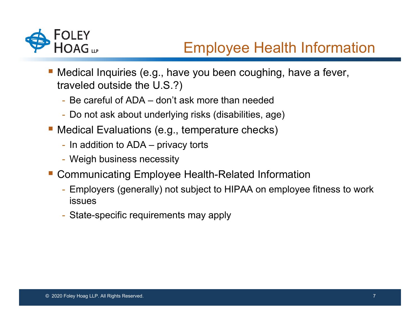

# Employee Health Information

- Medical Inquiries (e.g., have you been coughing, have a fever, traveled outside the U.S.?)
	- Be careful of ADA don't ask more than needed
	- Do not ask about underlying risks (disabilities, age)
- Medical Evaluations (e.g., temperature checks)
	- In addition to ADA privacy torts
	- Weigh business necessity
- Communicating Employee Health-Related Information
	- Employers (generally) not subject to HIPAA on employee fitness to work issues
	- State-specific requirements may apply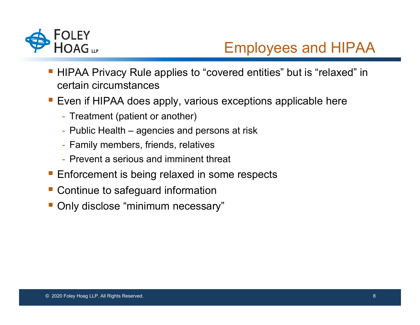

### Employees and HIPAA

- HIPAA Privacy Rule applies to "covered entities" but is "relaxed" in certain circumstances
- Even if HIPAA does apply, various exceptions applicable here
	- Treatment (patient or another)
	- Public Health agencies and persons at risk
	- Family members, friends, relatives
	- Prevent a serious and imminent threat
- Enforcement is being relaxed in some respects
- Continue to safeguard information
- Only disclose "minimum necessary"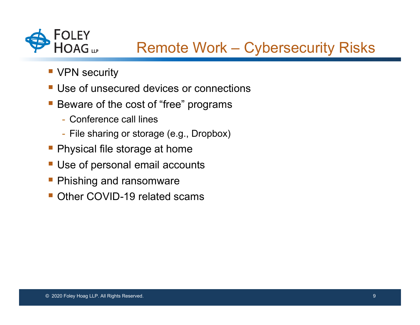

### Remote Work – Cybersecurity Risks

- **VPN security**
- **Use of unsecured devices or connections**
- Beware of the cost of "free" programs
	- Conference call lines
	- File sharing or storage (e.g., Dropbox)
- **Physical file storage at home**
- **Use of personal email accounts**
- **Phishing and ransomware**
- Other COVID-19 related scams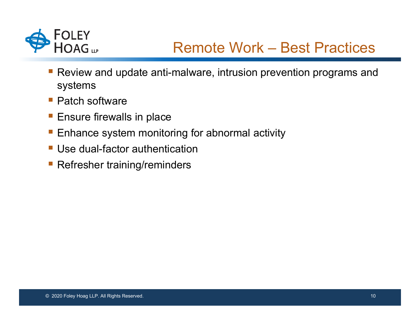

- Review and update anti-malware, intrusion prevention programs and systems
- **Patch software**
- **Ensure firewalls in place**
- **Enhance system monitoring for abnormal activity**
- **Use dual-factor authentication**
- Refresher training/reminders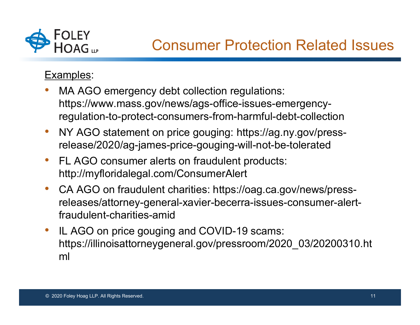

#### Examples:

- • MA AGO emergency debt collection regulations: https://www.mass.gov/news/ags-office-issues-emergencyregulation-to-protect-consumers-from-harmful-debt-collection
- • NY AGO statement on price gouging: https://ag.ny.gov/pressrelease/2020/ag-james-price-gouging-will-not-be-tolerated
- • FL AGO consumer alerts on fraudulent products: http://myfloridalegal.com/ConsumerAlert
- • CA AGO on fraudulent charities: https://oag.ca.gov/news/pressreleases/attorney-general-xavier-becerra-issues-consumer-alertfraudulent-charities-amid
- • IL AGO on price gouging and COVID-19 scams: https://illinoisattorneygeneral.gov/pressroom/2020\_03/20200310.ht ml